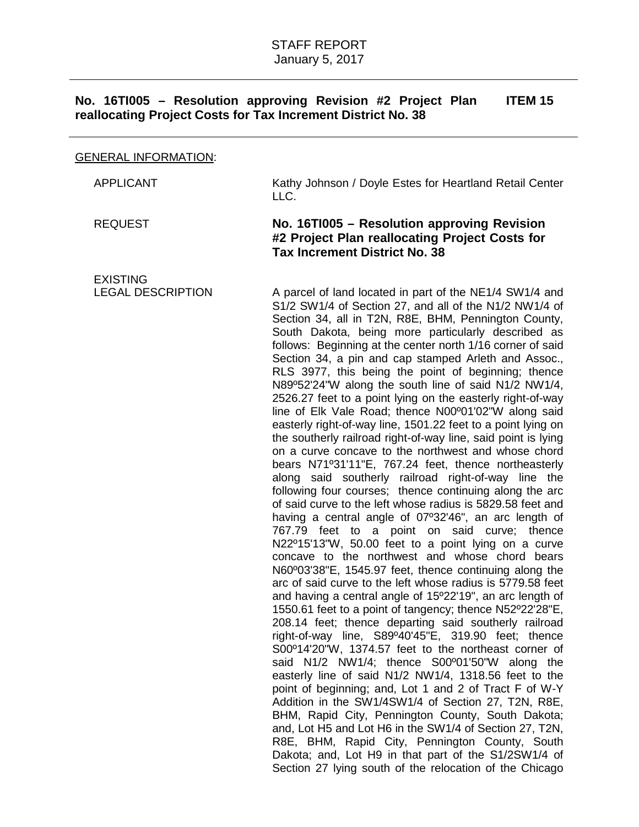# GENERAL INFORMATION:

APPLICANT Kathy Johnson / Doyle Estes for Heartland Retail Center LLC. REQUEST **No. 16TI005 – Resolution approving Revision #2 Project Plan reallocating Project Costs for Tax Increment District No. 38** EXISTING LEGAL DESCRIPTION A parcel of land located in part of the NE1/4 SW1/4 and S1/2 SW1/4 of Section 27, and all of the N1/2 NW1/4 of Section 34, all in T2N, R8E, BHM, Pennington County, South Dakota, being more particularly described as follows: Beginning at the center north 1/16 corner of said Section 34, a pin and cap stamped Arleth and Assoc., RLS 3977, this being the point of beginning; thence N89º52'24"W along the south line of said N1/2 NW1/4, 2526.27 feet to a point lying on the easterly right-of-way line of Elk Vale Road; thence N00º01'02"W along said easterly right-of-way line, 1501.22 feet to a point lying on the southerly railroad right-of-way line, said point is lying on a curve concave to the northwest and whose chord bears N71º31'11"E, 767.24 feet, thence northeasterly along said southerly railroad right-of-way line the following four courses; thence continuing along the arc of said curve to the left whose radius is 5829.58 feet and having a central angle of 07º32'46", an arc length of 767.79 feet to a point on said curve; thence N22º15'13"W, 50.00 feet to a point lying on a curve concave to the northwest and whose chord bears N60º03'38"E, 1545.97 feet, thence continuing along the arc of said curve to the left whose radius is 5779.58 feet and having a central angle of 15º22'19", an arc length of 1550.61 feet to a point of tangency; thence N52º22'28"E, 208.14 feet; thence departing said southerly railroad right-of-way line, S89º40'45"E, 319.90 feet; thence S00º14'20"W, 1374.57 feet to the northeast corner of said N1/2 NW1/4; thence S00º01'50"W along the easterly line of said N1/2 NW1/4, 1318.56 feet to the point of beginning; and, Lot 1 and 2 of Tract F of W-Y Addition in the SW1/4SW1/4 of Section 27, T2N, R8E, BHM, Rapid City, Pennington County, South Dakota; and, Lot H5 and Lot H6 in the SW1/4 of Section 27, T2N, R8E, BHM, Rapid City, Pennington County, South Dakota; and, Lot H9 in that part of the S1/2SW1/4 of

Section 27 lying south of the relocation of the Chicago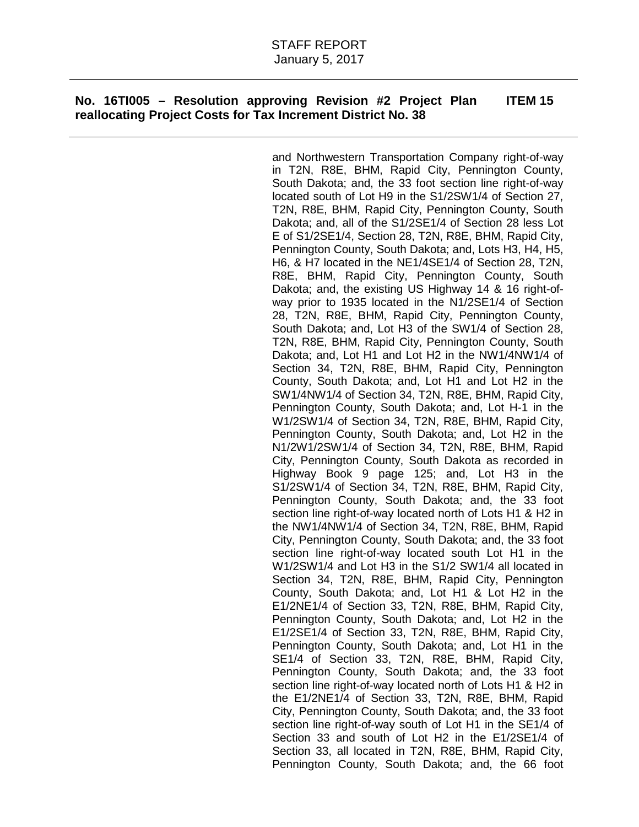and Northwestern Transportation Company right-of-way in T2N, R8E, BHM, Rapid City, Pennington County, South Dakota; and, the 33 foot section line right-of-way located south of Lot H9 in the S1/2SW1/4 of Section 27, T2N, R8E, BHM, Rapid City, Pennington County, South Dakota; and, all of the S1/2SE1/4 of Section 28 less Lot E of S1/2SE1/4, Section 28, T2N, R8E, BHM, Rapid City, Pennington County, South Dakota; and, Lots H3, H4, H5, H6, & H7 located in the NE1/4SE1/4 of Section 28, T2N, R8E, BHM, Rapid City, Pennington County, South Dakota; and, the existing US Highway 14 & 16 right-ofway prior to 1935 located in the N1/2SE1/4 of Section 28, T2N, R8E, BHM, Rapid City, Pennington County, South Dakota; and, Lot H3 of the SW1/4 of Section 28, T2N, R8E, BHM, Rapid City, Pennington County, South Dakota; and, Lot H1 and Lot H2 in the NW1/4NW1/4 of Section 34, T2N, R8E, BHM, Rapid City, Pennington County, South Dakota; and, Lot H1 and Lot H2 in the SW1/4NW1/4 of Section 34, T2N, R8E, BHM, Rapid City, Pennington County, South Dakota; and, Lot H-1 in the W1/2SW1/4 of Section 34, T2N, R8E, BHM, Rapid City, Pennington County, South Dakota; and, Lot H2 in the N1/2W1/2SW1/4 of Section 34, T2N, R8E, BHM, Rapid City, Pennington County, South Dakota as recorded in Highway Book 9 page 125; and, Lot H3 in the S1/2SW1/4 of Section 34, T2N, R8E, BHM, Rapid City, Pennington County, South Dakota; and, the 33 foot section line right-of-way located north of Lots H1 & H2 in the NW1/4NW1/4 of Section 34, T2N, R8E, BHM, Rapid City, Pennington County, South Dakota; and, the 33 foot section line right-of-way located south Lot H1 in the W1/2SW1/4 and Lot H3 in the S1/2 SW1/4 all located in Section 34, T2N, R8E, BHM, Rapid City, Pennington County, South Dakota; and, Lot H1 & Lot H2 in the E1/2NE1/4 of Section 33, T2N, R8E, BHM, Rapid City, Pennington County, South Dakota; and, Lot H2 in the E1/2SE1/4 of Section 33, T2N, R8E, BHM, Rapid City, Pennington County, South Dakota; and, Lot H1 in the SE1/4 of Section 33, T2N, R8E, BHM, Rapid City, Pennington County, South Dakota; and, the 33 foot section line right-of-way located north of Lots H1 & H2 in the E1/2NE1/4 of Section 33, T2N, R8E, BHM, Rapid City, Pennington County, South Dakota; and, the 33 foot section line right-of-way south of Lot H1 in the SE1/4 of Section 33 and south of Lot H2 in the E1/2SE1/4 of Section 33, all located in T2N, R8E, BHM, Rapid City, Pennington County, South Dakota; and, the 66 foot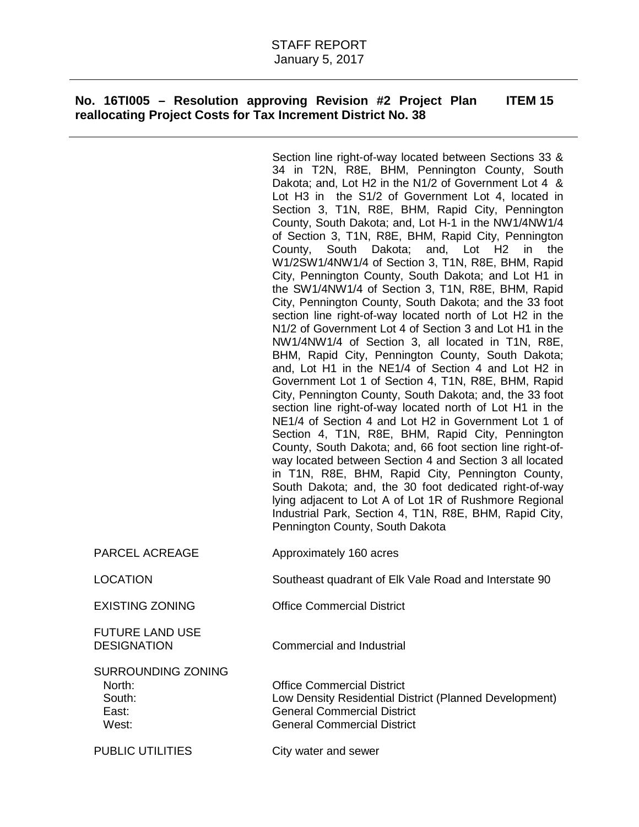Section line right-of-way located between Sections 33 & 34 in T2N, R8E, BHM, Pennington County, South Dakota; and, Lot H2 in the N1/2 of Government Lot 4 & Lot H3 in the S1/2 of Government Lot 4, located in Section 3, T1N, R8E, BHM, Rapid City, Pennington County, South Dakota; and, Lot H-1 in the NW1/4NW1/4 of Section 3, T1N, R8E, BHM, Rapid City, Pennington County, South Dakota; and, Lot H2 in the W1/2SW1/4NW1/4 of Section 3, T1N, R8E, BHM, Rapid City, Pennington County, South Dakota; and Lot H1 in the SW1/4NW1/4 of Section 3, T1N, R8E, BHM, Rapid City, Pennington County, South Dakota; and the 33 foot section line right-of-way located north of Lot H2 in the N1/2 of Government Lot 4 of Section 3 and Lot H1 in the NW1/4NW1/4 of Section 3, all located in T1N, R8E, BHM, Rapid City, Pennington County, South Dakota; and, Lot H1 in the NE1/4 of Section 4 and Lot H2 in Government Lot 1 of Section 4, T1N, R8E, BHM, Rapid City, Pennington County, South Dakota; and, the 33 foot section line right-of-way located north of Lot H1 in the NE1/4 of Section 4 and Lot H2 in Government Lot 1 of Section 4, T1N, R8E, BHM, Rapid City, Pennington County, South Dakota; and, 66 foot section line right-ofway located between Section 4 and Section 3 all located in T1N, R8E, BHM, Rapid City, Pennington County, South Dakota; and, the 30 foot dedicated right-of-way lying adjacent to Lot A of Lot 1R of Rushmore Regional Industrial Park, Section 4, T1N, R8E, BHM, Rapid City, Pennington County, South Dakota

PARCEL ACREAGE Approximately 160 acres

LOCATION Southeast quadrant of Elk Vale Road and Interstate 90

EXISTING ZONING Office Commercial District

FUTURE LAND USE

DESIGNATION Commercial and Industrial

SURROUNDING ZONING North: Office Commercial District

South: Low Density Residential District (Planned Development) East: General Commercial District West: General Commercial District

PUBLIC UTILITIES City water and sewer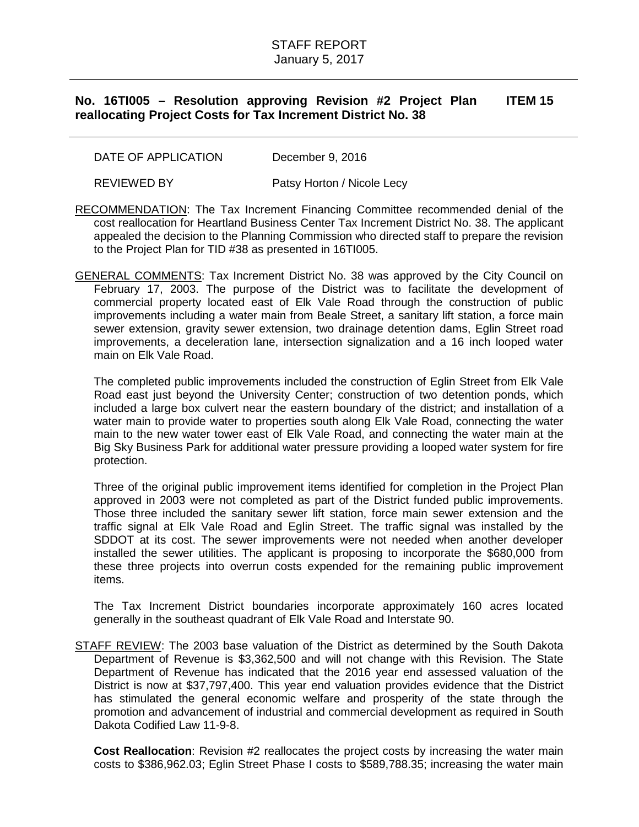DATE OF APPLICATION December 9, 2016

REVIEWED BY Patsy Horton / Nicole Lecy

- RECOMMENDATION: The Tax Increment Financing Committee recommended denial of the cost reallocation for Heartland Business Center Tax Increment District No. 38. The applicant appealed the decision to the Planning Commission who directed staff to prepare the revision to the Project Plan for TID #38 as presented in 16TI005.
- GENERAL COMMENTS: Tax Increment District No. 38 was approved by the City Council on February 17, 2003. The purpose of the District was to facilitate the development of commercial property located east of Elk Vale Road through the construction of public improvements including a water main from Beale Street, a sanitary lift station, a force main sewer extension, gravity sewer extension, two drainage detention dams, Eglin Street road improvements, a deceleration lane, intersection signalization and a 16 inch looped water main on Elk Vale Road.

The completed public improvements included the construction of Eglin Street from Elk Vale Road east just beyond the University Center; construction of two detention ponds, which included a large box culvert near the eastern boundary of the district; and installation of a water main to provide water to properties south along Elk Vale Road, connecting the water main to the new water tower east of Elk Vale Road, and connecting the water main at the Big Sky Business Park for additional water pressure providing a looped water system for fire protection.

Three of the original public improvement items identified for completion in the Project Plan approved in 2003 were not completed as part of the District funded public improvements. Those three included the sanitary sewer lift station, force main sewer extension and the traffic signal at Elk Vale Road and Eglin Street. The traffic signal was installed by the SDDOT at its cost. The sewer improvements were not needed when another developer installed the sewer utilities. The applicant is proposing to incorporate the \$680,000 from these three projects into overrun costs expended for the remaining public improvement items.

The Tax Increment District boundaries incorporate approximately 160 acres located generally in the southeast quadrant of Elk Vale Road and Interstate 90.

STAFF REVIEW: The 2003 base valuation of the District as determined by the South Dakota Department of Revenue is \$3,362,500 and will not change with this Revision. The State Department of Revenue has indicated that the 2016 year end assessed valuation of the District is now at \$37,797,400. This year end valuation provides evidence that the District has stimulated the general economic welfare and prosperity of the state through the promotion and advancement of industrial and commercial development as required in South Dakota Codified Law 11-9-8.

**Cost Reallocation**: Revision #2 reallocates the project costs by increasing the water main costs to \$386,962.03; Eglin Street Phase I costs to \$589,788.35; increasing the water main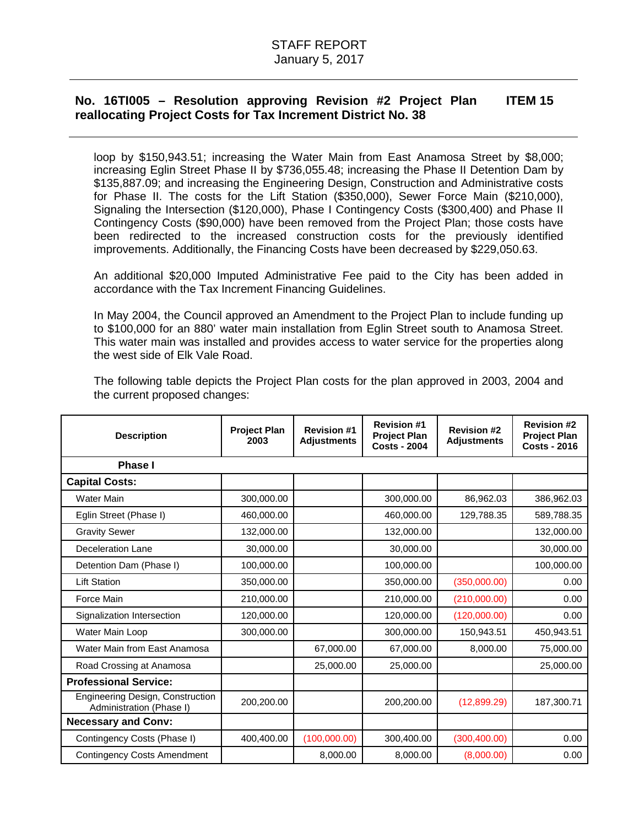loop by \$150,943.51; increasing the Water Main from East Anamosa Street by \$8,000; increasing Eglin Street Phase II by \$736,055.48; increasing the Phase II Detention Dam by \$135,887.09; and increasing the Engineering Design, Construction and Administrative costs for Phase II. The costs for the Lift Station (\$350,000), Sewer Force Main (\$210,000), Signaling the Intersection (\$120,000), Phase I Contingency Costs (\$300,400) and Phase II Contingency Costs (\$90,000) have been removed from the Project Plan; those costs have been redirected to the increased construction costs for the previously identified improvements. Additionally, the Financing Costs have been decreased by \$229,050.63.

An additional \$20,000 Imputed Administrative Fee paid to the City has been added in accordance with the Tax Increment Financing Guidelines.

In May 2004, the Council approved an Amendment to the Project Plan to include funding up to \$100,000 for an 880' water main installation from Eglin Street south to Anamosa Street. This water main was installed and provides access to water service for the properties along the west side of Elk Vale Road.

| <b>Description</b>                                           | <b>Project Plan</b><br>2003 | <b>Revision #1</b><br><b>Adjustments</b> | <b>Revision #1</b><br><b>Project Plan</b><br><b>Costs - 2004</b> | <b>Revision #2</b><br><b>Adjustments</b> | <b>Revision #2</b><br><b>Project Plan</b><br><b>Costs - 2016</b> |  |  |  |
|--------------------------------------------------------------|-----------------------------|------------------------------------------|------------------------------------------------------------------|------------------------------------------|------------------------------------------------------------------|--|--|--|
| <b>Phase I</b>                                               |                             |                                          |                                                                  |                                          |                                                                  |  |  |  |
| <b>Capital Costs:</b>                                        |                             |                                          |                                                                  |                                          |                                                                  |  |  |  |
| <b>Water Main</b>                                            | 300,000.00                  |                                          | 300,000.00                                                       | 86,962.03                                | 386,962.03                                                       |  |  |  |
| Eglin Street (Phase I)                                       | 460,000.00                  |                                          | 460,000.00                                                       | 129,788.35                               | 589,788.35                                                       |  |  |  |
| <b>Gravity Sewer</b>                                         | 132,000.00                  |                                          | 132,000.00                                                       |                                          | 132,000.00                                                       |  |  |  |
| <b>Deceleration Lane</b>                                     | 30,000.00                   |                                          | 30,000.00                                                        |                                          | 30,000.00                                                        |  |  |  |
| Detention Dam (Phase I)                                      | 100,000.00                  |                                          | 100,000.00                                                       |                                          | 100,000.00                                                       |  |  |  |
| <b>Lift Station</b>                                          | 350,000.00                  |                                          | 350,000.00                                                       | (350,000.00)                             | 0.00                                                             |  |  |  |
| Force Main                                                   | 210,000.00                  |                                          | 210,000.00                                                       | (210,000.00)                             | 0.00                                                             |  |  |  |
| Signalization Intersection                                   | 120,000.00                  |                                          | 120,000.00                                                       | (120,000.00)                             | 0.00                                                             |  |  |  |
| Water Main Loop                                              | 300,000.00                  |                                          | 300,000.00                                                       | 150,943.51                               | 450,943.51                                                       |  |  |  |
| Water Main from East Anamosa                                 |                             | 67,000.00                                | 67,000.00                                                        | 8,000.00                                 | 75,000.00                                                        |  |  |  |
| Road Crossing at Anamosa                                     |                             | 25,000.00                                | 25,000.00                                                        |                                          | 25,000.00                                                        |  |  |  |
| <b>Professional Service:</b>                                 |                             |                                          |                                                                  |                                          |                                                                  |  |  |  |
| Engineering Design, Construction<br>Administration (Phase I) | 200,200.00                  |                                          | 200,200.00                                                       | (12,899.29)                              | 187,300.71                                                       |  |  |  |
| <b>Necessary and Conv:</b>                                   |                             |                                          |                                                                  |                                          |                                                                  |  |  |  |
| Contingency Costs (Phase I)                                  | 400,400.00                  | (100,000.00)                             | 300,400.00                                                       | (300, 400.00)                            | 0.00                                                             |  |  |  |
| <b>Contingency Costs Amendment</b>                           |                             | 8,000.00                                 | 8,000.00                                                         | (8,000.00)                               | 0.00                                                             |  |  |  |

The following table depicts the Project Plan costs for the plan approved in 2003, 2004 and the current proposed changes: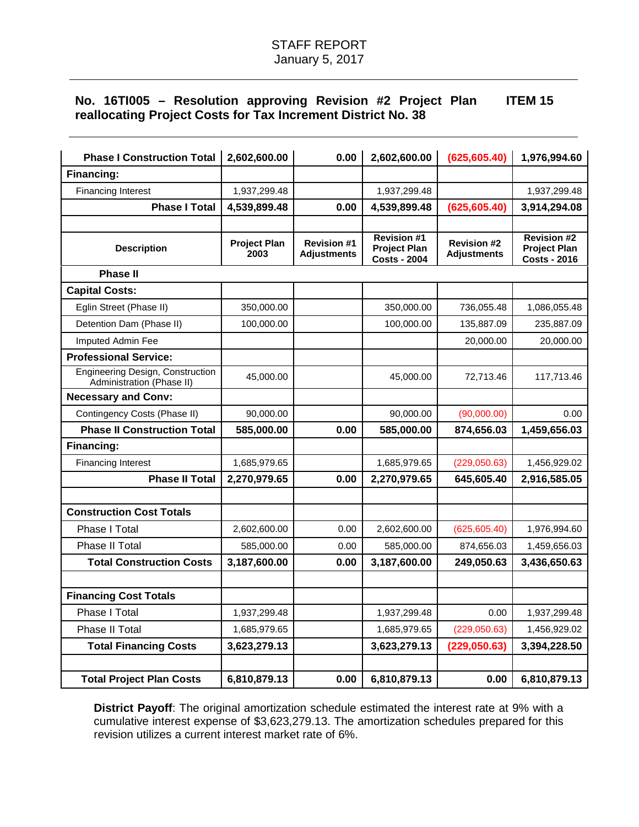| <b>Phase I Construction Total</b>                                    | 2,602,600.00                | 0.00                                     | 2,602,600.00                                                     | (625, 605.40)                            | 1,976,994.60                                                     |
|----------------------------------------------------------------------|-----------------------------|------------------------------------------|------------------------------------------------------------------|------------------------------------------|------------------------------------------------------------------|
| Financing:                                                           |                             |                                          |                                                                  |                                          |                                                                  |
| <b>Financing Interest</b>                                            | 1,937,299.48                |                                          | 1,937,299.48                                                     |                                          | 1,937,299.48                                                     |
| <b>Phase I Total</b>                                                 | 4,539,899.48                | 0.00                                     | 4,539,899.48                                                     | (625, 605.40)                            | 3,914,294.08                                                     |
|                                                                      |                             |                                          |                                                                  |                                          |                                                                  |
| <b>Description</b>                                                   | <b>Project Plan</b><br>2003 | <b>Revision #1</b><br><b>Adjustments</b> | <b>Revision #1</b><br><b>Project Plan</b><br><b>Costs - 2004</b> | <b>Revision #2</b><br><b>Adjustments</b> | <b>Revision #2</b><br><b>Project Plan</b><br><b>Costs - 2016</b> |
| <b>Phase II</b>                                                      |                             |                                          |                                                                  |                                          |                                                                  |
| <b>Capital Costs:</b>                                                |                             |                                          |                                                                  |                                          |                                                                  |
| Eglin Street (Phase II)                                              | 350,000.00                  |                                          | 350,000.00                                                       | 736,055.48                               | 1,086,055.48                                                     |
| Detention Dam (Phase II)                                             | 100,000.00                  |                                          | 100,000.00                                                       | 135,887.09                               | 235,887.09                                                       |
| Imputed Admin Fee                                                    |                             |                                          |                                                                  | 20,000.00                                | 20,000.00                                                        |
| <b>Professional Service:</b>                                         |                             |                                          |                                                                  |                                          |                                                                  |
| <b>Engineering Design, Construction</b><br>Administration (Phase II) | 45,000.00                   |                                          | 45,000.00                                                        | 72,713.46                                | 117,713.46                                                       |
| <b>Necessary and Conv:</b>                                           |                             |                                          |                                                                  |                                          |                                                                  |
| Contingency Costs (Phase II)                                         | 90,000.00                   |                                          | 90,000.00                                                        | (90,000.00)                              | 0.00                                                             |
| <b>Phase II Construction Total</b>                                   | 585,000.00                  | 0.00                                     | 585,000.00                                                       | 874,656.03                               | 1,459,656.03                                                     |
| Financing:                                                           |                             |                                          |                                                                  |                                          |                                                                  |
| <b>Financing Interest</b>                                            | 1,685,979.65                |                                          | 1,685,979.65                                                     | (229,050.63)                             | 1,456,929.02                                                     |
| <b>Phase II Total</b>                                                | 2,270,979.65                | 0.00                                     | 2,270,979.65                                                     | 645,605.40                               | 2,916,585.05                                                     |
| <b>Construction Cost Totals</b>                                      |                             |                                          |                                                                  |                                          |                                                                  |
| Phase I Total                                                        | 2,602,600.00                | 0.00                                     | 2,602,600.00                                                     | (625, 605.40)                            | 1,976,994.60                                                     |
| Phase II Total                                                       | 585,000.00                  | 0.00                                     | 585,000.00                                                       | 874,656.03                               | 1,459,656.03                                                     |
| <b>Total Construction Costs</b>                                      | 3,187,600.00                | 0.00                                     | 3,187,600.00                                                     | 249,050.63                               | 3,436,650.63                                                     |
|                                                                      |                             |                                          |                                                                  |                                          |                                                                  |
| <b>Financing Cost Totals</b>                                         |                             |                                          |                                                                  |                                          |                                                                  |
| Phase I Total                                                        | 1,937,299.48                |                                          | 1,937,299.48                                                     | 0.00                                     | 1,937,299.48                                                     |
| Phase II Total                                                       | 1,685,979.65                |                                          | 1,685,979.65                                                     | (229,050.63)                             | 1,456,929.02                                                     |
| <b>Total Financing Costs</b>                                         | 3,623,279.13                |                                          | 3,623,279.13                                                     | (229, 050.63)                            | 3,394,228.50                                                     |
| <b>Total Project Plan Costs</b>                                      | 6,810,879.13                | 0.00                                     | 6,810,879.13                                                     | 0.00                                     | 6,810,879.13                                                     |
|                                                                      |                             |                                          |                                                                  |                                          |                                                                  |

**District Payoff**: The original amortization schedule estimated the interest rate at 9% with a cumulative interest expense of \$3,623,279.13. The amortization schedules prepared for this revision utilizes a current interest market rate of 6%.